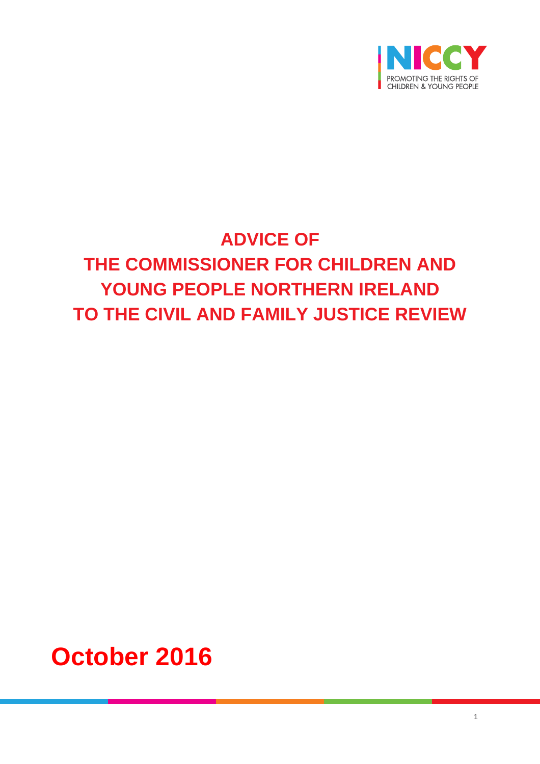

# **ADVICE OF THE COMMISSIONER FOR CHILDREN AND YOUNG PEOPLE NORTHERN IRELAND TO THE CIVIL AND FAMILY JUSTICE REVIEW**

**October 2016**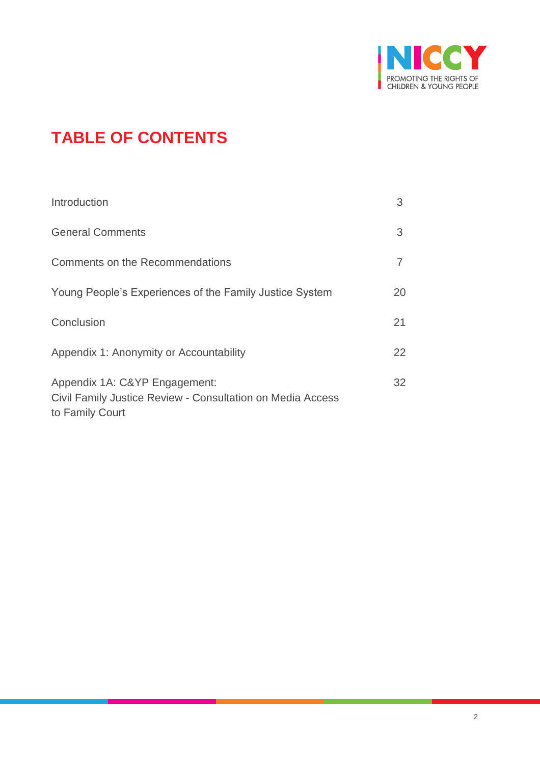

## **TABLE OF CONTENTS**

| Introduction                                                                                                   | 3  |
|----------------------------------------------------------------------------------------------------------------|----|
| <b>General Comments</b>                                                                                        | 3  |
| Comments on the Recommendations                                                                                |    |
| Young People's Experiences of the Family Justice System                                                        | 20 |
| Conclusion                                                                                                     | 21 |
| Appendix 1: Anonymity or Accountability                                                                        | 22 |
| Appendix 1A: C&YP Engagement:<br>Civil Family Justice Review - Consultation on Media Access<br>to Family Court | 32 |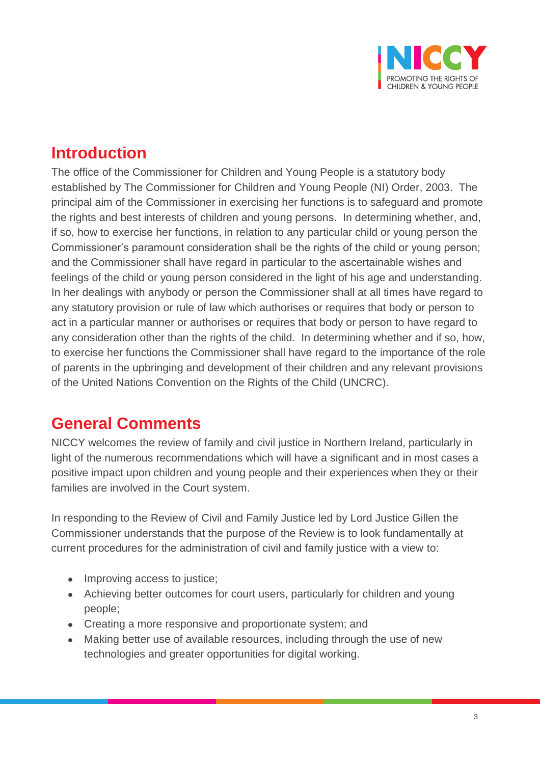

### **Introduction**

The office of the Commissioner for Children and Young People is a statutory body established by The Commissioner for Children and Young People (NI) Order, 2003. The principal aim of the Commissioner in exercising her functions is to safeguard and promote the rights and best interests of children and young persons. In determining whether, and, if so, how to exercise her functions, in relation to any particular child or young person the Commissioner's paramount consideration shall be the rights of the child or young person; and the Commissioner shall have regard in particular to the ascertainable wishes and feelings of the child or young person considered in the light of his age and understanding. In her dealings with anybody or person the Commissioner shall at all times have regard to any statutory provision or rule of law which authorises or requires that body or person to act in a particular manner or authorises or requires that body or person to have regard to any consideration other than the rights of the child. In determining whether and if so, how, to exercise her functions the Commissioner shall have regard to the importance of the role of parents in the upbringing and development of their children and any relevant provisions of the United Nations Convention on the Rights of the Child (UNCRC).

### **General Comments**

NICCY welcomes the review of family and civil justice in Northern Ireland, particularly in light of the numerous recommendations which will have a significant and in most cases a positive impact upon children and young people and their experiences when they or their families are involved in the Court system.

In responding to the Review of Civil and Family Justice led by Lord Justice Gillen the Commissioner understands that the purpose of the Review is to look fundamentally at current procedures for the administration of civil and family justice with a view to:

- Improving access to justice;
- Achieving better outcomes for court users, particularly for children and young people;
- Creating a more responsive and proportionate system; and
- Making better use of available resources, including through the use of new technologies and greater opportunities for digital working.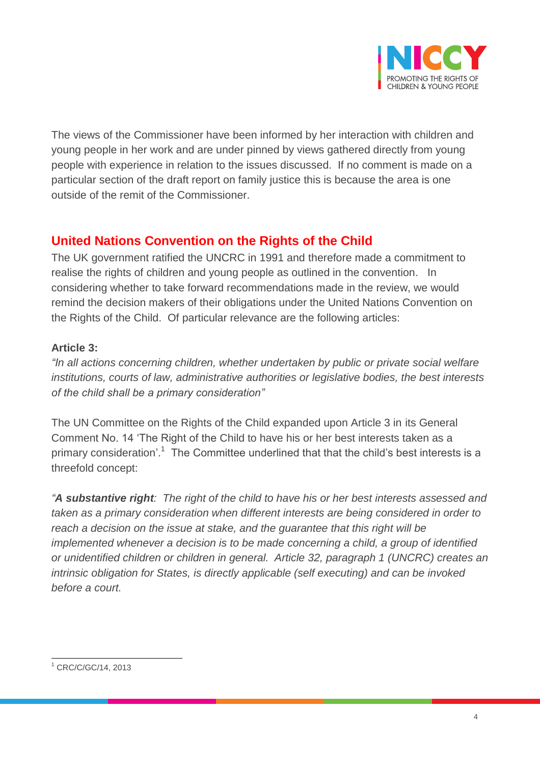

The views of the Commissioner have been informed by her interaction with children and young people in her work and are under pinned by views gathered directly from young people with experience in relation to the issues discussed. If no comment is made on a particular section of the draft report on family justice this is because the area is one outside of the remit of the Commissioner.

### **United Nations Convention on the Rights of the Child**

The UK government ratified the UNCRC in 1991 and therefore made a commitment to realise the rights of children and young people as outlined in the convention. In considering whether to take forward recommendations made in the review, we would remind the decision makers of their obligations under the United Nations Convention on the Rights of the Child. Of particular relevance are the following articles:

#### **Article 3:**

*"In all actions concerning children, whether undertaken by public or private social welfare institutions, courts of law, administrative authorities or legislative bodies, the best interests of the child shall be a primary consideration"*

The UN Committee on the Rights of the Child expanded upon Article 3 in its General Comment No. 14 'The Right of the Child to have his or her best interests taken as a primary consideration'.<sup>1</sup> The Committee underlined that that the child's best interests is a threefold concept:

*"A substantive right: The right of the child to have his or her best interests assessed and taken as a primary consideration when different interests are being considered in order to reach a decision on the issue at stake, and the guarantee that this right will be implemented whenever a decision is to be made concerning a child, a group of identified or unidentified children or children in general. Article 32, paragraph 1 (UNCRC) creates an intrinsic obligation for States, is directly applicable (self executing) and can be invoked before a court.*

 $\overline{a}$ <sup>1</sup> CRC/C/GC/14, 2013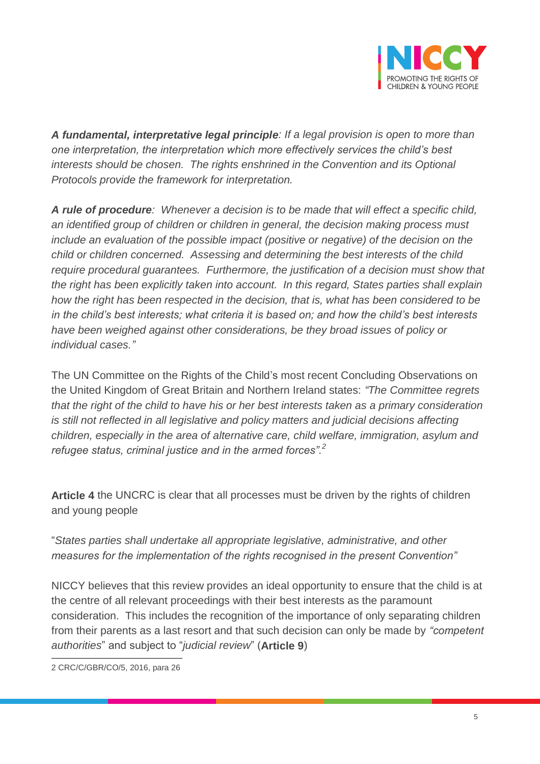

*A fundamental, interpretative legal principle: If a legal provision is open to more than one interpretation, the interpretation which more effectively services the child's best interests should be chosen. The rights enshrined in the Convention and its Optional Protocols provide the framework for interpretation.*

*A rule of procedure: Whenever a decision is to be made that will effect a specific child, an identified group of children or children in general, the decision making process must include an evaluation of the possible impact (positive or negative) of the decision on the child or children concerned. Assessing and determining the best interests of the child require procedural guarantees. Furthermore, the justification of a decision must show that the right has been explicitly taken into account. In this regard, States parties shall explain how the right has been respected in the decision, that is, what has been considered to be in the child's best interests; what criteria it is based on; and how the child's best interests have been weighed against other considerations, be they broad issues of policy or individual cases."*

The UN Committee on the Rights of the Child's most recent Concluding Observations on the United Kingdom of Great Britain and Northern Ireland states: *"The Committee regrets that the right of the child to have his or her best interests taken as a primary consideration is still not reflected in all legislative and policy matters and judicial decisions affecting children, especially in the area of alternative care, child welfare, immigration, asylum and refugee status, criminal justice and in the armed forces". 2*

**Article 4** the UNCRC is clear that all processes must be driven by the rights of children and young people

"*States parties shall undertake all appropriate legislative, administrative, and other measures for the implementation of the rights recognised in the present Convention"*

NICCY believes that this review provides an ideal opportunity to ensure that the child is at the centre of all relevant proceedings with their best interests as the paramount consideration. This includes the recognition of the importance of only separating children from their parents as a last resort and that such decision can only be made by *"competent authorities*" and subject to "*judicial review*" (**Article 9**)

 $\overline{a}$ 2 CRC/C/GBR/CO/5, 2016, para 26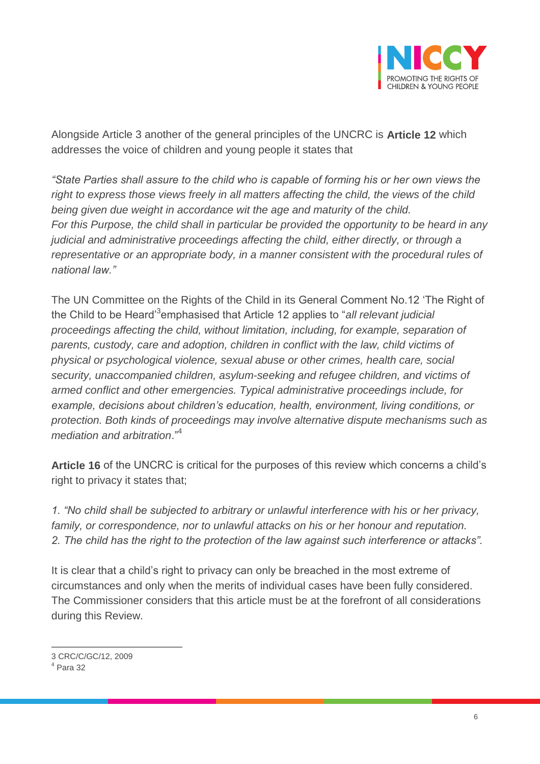

Alongside Article 3 another of the general principles of the UNCRC is **Article 12** which addresses the voice of children and young people it states that

*"State Parties shall assure to the child who is capable of forming his or her own views the right to express those views freely in all matters affecting the child, the views of the child being given due weight in accordance wit the age and maturity of the child. For this Purpose, the child shall in particular be provided the opportunity to be heard in any judicial and administrative proceedings affecting the child, either directly, or through a representative or an appropriate body, in a manner consistent with the procedural rules of national law."*

The UN Committee on the Rights of the Child in its General Comment No.12 'The Right of the Child to be Heard'<sup>3</sup> emphasised that Article 12 applies to "*all relevant judicial proceedings affecting the child, without limitation, including, for example, separation of parents, custody, care and adoption, children in conflict with the law, child victims of physical or psychological violence, sexual abuse or other crimes, health care, social security, unaccompanied children, asylum-seeking and refugee children, and victims of armed conflict and other emergencies. Typical administrative proceedings include, for example, decisions about children's education, health, environment, living conditions, or protection. Both kinds of proceedings may involve alternative dispute mechanisms such as mediation and arbitration*." 4

**Article 16** of the UNCRC is critical for the purposes of this review which concerns a child's right to privacy it states that;

*1. "No child shall be subjected to arbitrary or unlawful interference with his or her privacy, family, or correspondence, nor to unlawful attacks on his or her honour and reputation. 2. The child has the right to the protection of the law against such interference or attacks".*

It is clear that a child's right to privacy can only be breached in the most extreme of circumstances and only when the merits of individual cases have been fully considered. The Commissioner considers that this article must be at the forefront of all considerations during this Review.

 $\overline{a}$ 3 CRC/C/GC/12, 2009

 $<sup>4</sup>$  Para 32</sup>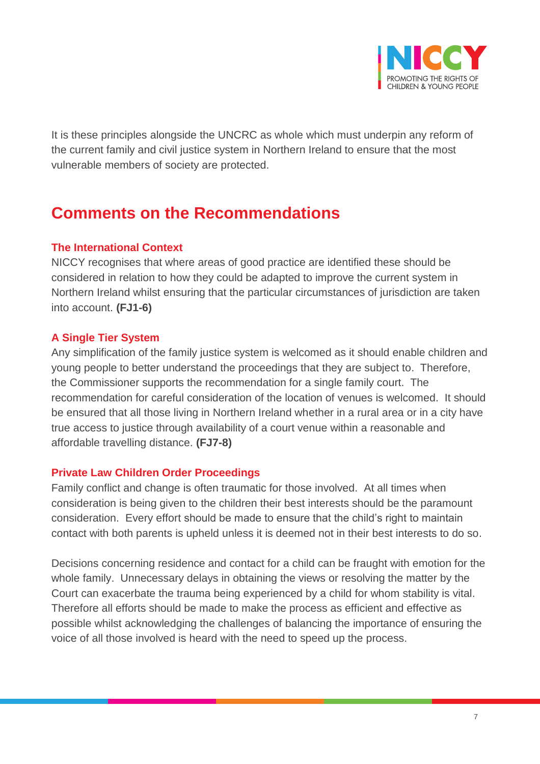

It is these principles alongside the UNCRC as whole which must underpin any reform of the current family and civil justice system in Northern Ireland to ensure that the most vulnerable members of society are protected.

### **Comments on the Recommendations**

#### **The International Context**

NICCY recognises that where areas of good practice are identified these should be considered in relation to how they could be adapted to improve the current system in Northern Ireland whilst ensuring that the particular circumstances of jurisdiction are taken into account. **(FJ1-6)**

#### **A Single Tier System**

Any simplification of the family justice system is welcomed as it should enable children and young people to better understand the proceedings that they are subject to. Therefore, the Commissioner supports the recommendation for a single family court. The recommendation for careful consideration of the location of venues is welcomed. It should be ensured that all those living in Northern Ireland whether in a rural area or in a city have true access to justice through availability of a court venue within a reasonable and affordable travelling distance. **(FJ7-8)**

#### **Private Law Children Order Proceedings**

Family conflict and change is often traumatic for those involved. At all times when consideration is being given to the children their best interests should be the paramount consideration. Every effort should be made to ensure that the child's right to maintain contact with both parents is upheld unless it is deemed not in their best interests to do so.

Decisions concerning residence and contact for a child can be fraught with emotion for the whole family. Unnecessary delays in obtaining the views or resolving the matter by the Court can exacerbate the trauma being experienced by a child for whom stability is vital. Therefore all efforts should be made to make the process as efficient and effective as possible whilst acknowledging the challenges of balancing the importance of ensuring the voice of all those involved is heard with the need to speed up the process.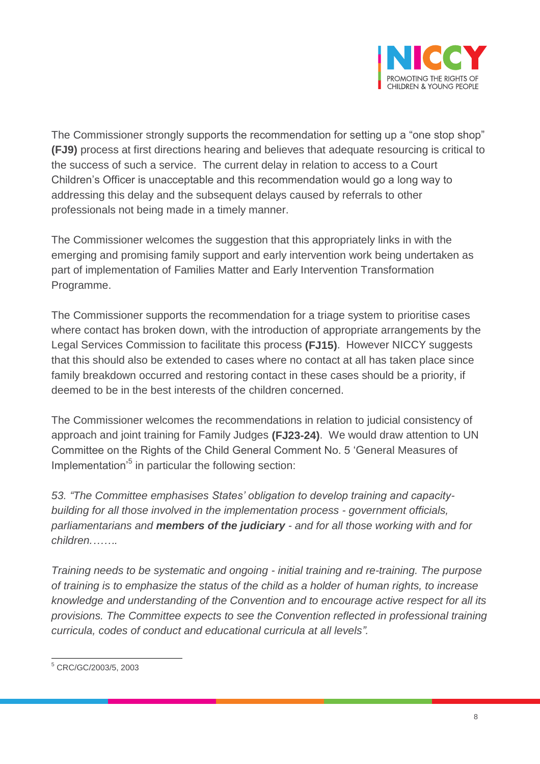

The Commissioner strongly supports the recommendation for setting up a "one stop shop" **(FJ9)** process at first directions hearing and believes that adequate resourcing is critical to the success of such a service. The current delay in relation to access to a Court Children's Officer is unacceptable and this recommendation would go a long way to addressing this delay and the subsequent delays caused by referrals to other professionals not being made in a timely manner.

The Commissioner welcomes the suggestion that this appropriately links in with the emerging and promising family support and early intervention work being undertaken as part of implementation of Families Matter and Early Intervention Transformation Programme.

The Commissioner supports the recommendation for a triage system to prioritise cases where contact has broken down, with the introduction of appropriate arrangements by the Legal Services Commission to facilitate this process **(FJ15)**. However NICCY suggests that this should also be extended to cases where no contact at all has taken place since family breakdown occurred and restoring contact in these cases should be a priority, if deemed to be in the best interests of the children concerned.

The Commissioner welcomes the recommendations in relation to judicial consistency of approach and joint training for Family Judges **(FJ23-24)**. We would draw attention to UN Committee on the Rights of the Child General Comment No. 5 'General Measures of Implementation'<sup>5</sup> in particular the following section:

*53. "The Committee emphasises States' obligation to develop training and capacitybuilding for all those involved in the implementation process - government officials, parliamentarians and members of the judiciary - and for all those working with and for children.…….*

*Training needs to be systematic and ongoing - initial training and re-training. The purpose of training is to emphasize the status of the child as a holder of human rights, to increase knowledge and understanding of the Convention and to encourage active respect for all its provisions. The Committee expects to see the Convention reflected in professional training curricula, codes of conduct and educational curricula at all levels".*

 $\overline{a}$ <sup>5</sup> CRC/GC/2003/5, 2003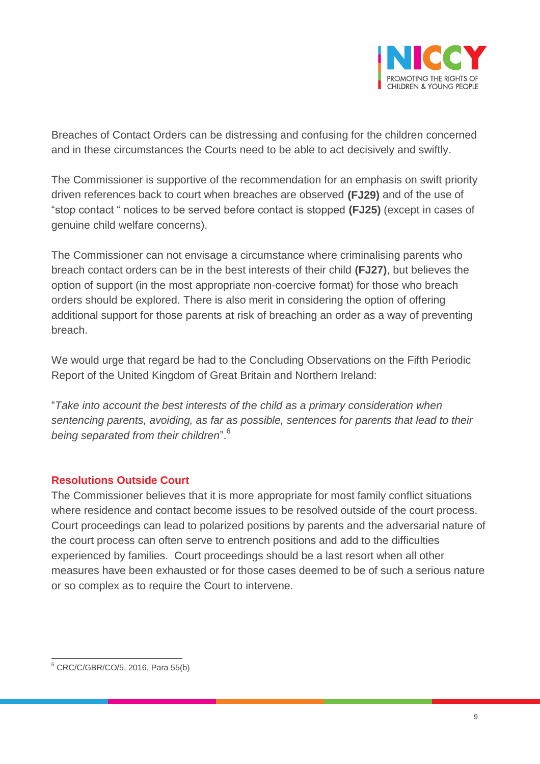

Breaches of Contact Orders can be distressing and confusing for the children concerned and in these circumstances the Courts need to be able to act decisively and swiftly.

The Commissioner is supportive of the recommendation for an emphasis on swift priority driven references back to court when breaches are observed **(FJ29)** and of the use of "stop contact " notices to be served before contact is stopped **(FJ25)** (except in cases of genuine child welfare concerns).

The Commissioner can not envisage a circumstance where criminalising parents who breach contact orders can be in the best interests of their child **(FJ27)**, but believes the option of support (in the most appropriate non-coercive format) for those who breach orders should be explored. There is also merit in considering the option of offering additional support for those parents at risk of breaching an order as a way of preventing breach.

We would urge that regard be had to the Concluding Observations on the Fifth Periodic Report of the United Kingdom of Great Britain and Northern Ireland:

"*Take into account the best interests of the child as a primary consideration when sentencing parents, avoiding, as far as possible, sentences for parents that lead to their being separated from their children*".<sup>6</sup>

#### **Resolutions Outside Court**

The Commissioner believes that it is more appropriate for most family conflict situations where residence and contact become issues to be resolved outside of the court process. Court proceedings can lead to polarized positions by parents and the adversarial nature of the court process can often serve to entrench positions and add to the difficulties experienced by families. Court proceedings should be a last resort when all other measures have been exhausted or for those cases deemed to be of such a serious nature or so complex as to require the Court to intervene.

 $\overline{a}$ <sup>6</sup> CRC/C/GBR/CO/5, 2016, Para 55(b)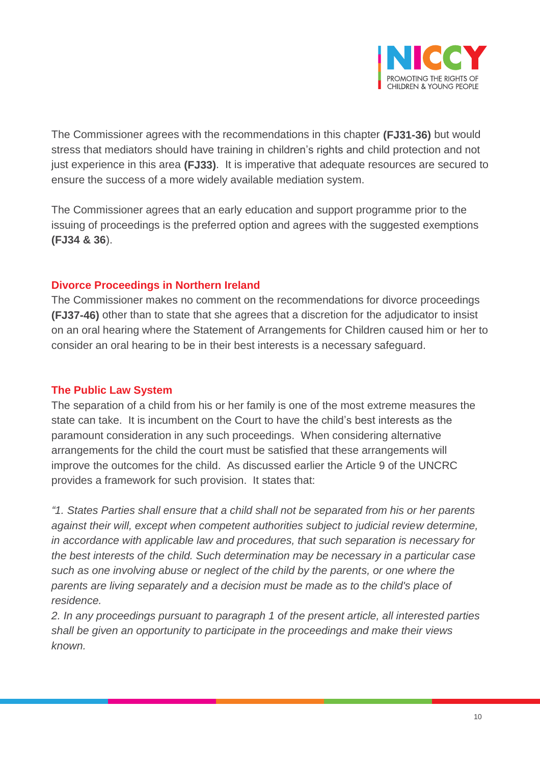

The Commissioner agrees with the recommendations in this chapter **(FJ31-36)** but would stress that mediators should have training in children's rights and child protection and not just experience in this area **(FJ33)**. It is imperative that adequate resources are secured to ensure the success of a more widely available mediation system.

The Commissioner agrees that an early education and support programme prior to the issuing of proceedings is the preferred option and agrees with the suggested exemptions **(FJ34 & 36**).

#### **Divorce Proceedings in Northern Ireland**

The Commissioner makes no comment on the recommendations for divorce proceedings **(FJ37-46)** other than to state that she agrees that a discretion for the adjudicator to insist on an oral hearing where the Statement of Arrangements for Children caused him or her to consider an oral hearing to be in their best interests is a necessary safeguard.

#### **The Public Law System**

The separation of a child from his or her family is one of the most extreme measures the state can take. It is incumbent on the Court to have the child's best interests as the paramount consideration in any such proceedings. When considering alternative arrangements for the child the court must be satisfied that these arrangements will improve the outcomes for the child. As discussed earlier the Article 9 of the UNCRC provides a framework for such provision. It states that:

*"1. States Parties shall ensure that a child shall not be separated from his or her parents against their will, except when competent authorities subject to judicial review determine, in accordance with applicable law and procedures, that such separation is necessary for the best interests of the child. Such determination may be necessary in a particular case such as one involving abuse or neglect of the child by the parents, or one where the parents are living separately and a decision must be made as to the child's place of residence.* 

*2. In any proceedings pursuant to paragraph 1 of the present article, all interested parties shall be given an opportunity to participate in the proceedings and make their views known.*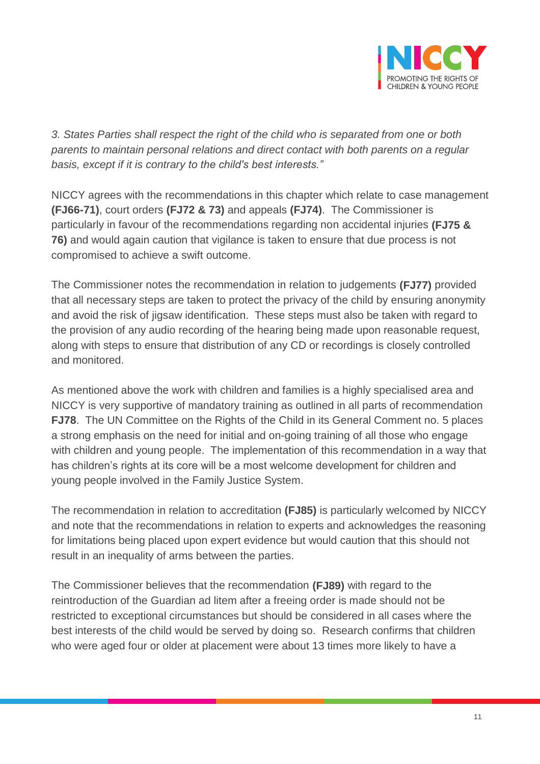

*3. States Parties shall respect the right of the child who is separated from one or both parents to maintain personal relations and direct contact with both parents on a regular basis, except if it is contrary to the child's best interests."*

NICCY agrees with the recommendations in this chapter which relate to case management **(FJ66-71)**, court orders **(FJ72 & 73)** and appeals **(FJ74)**. The Commissioner is particularly in favour of the recommendations regarding non accidental injuries **(FJ75 & 76)** and would again caution that vigilance is taken to ensure that due process is not compromised to achieve a swift outcome.

The Commissioner notes the recommendation in relation to judgements **(FJ77)** provided that all necessary steps are taken to protect the privacy of the child by ensuring anonymity and avoid the risk of jigsaw identification. These steps must also be taken with regard to the provision of any audio recording of the hearing being made upon reasonable request, along with steps to ensure that distribution of any CD or recordings is closely controlled and monitored.

As mentioned above the work with children and families is a highly specialised area and NICCY is very supportive of mandatory training as outlined in all parts of recommendation **FJ78**. The UN Committee on the Rights of the Child in its General Comment no. 5 places a strong emphasis on the need for initial and on-going training of all those who engage with children and young people. The implementation of this recommendation in a way that has children's rights at its core will be a most welcome development for children and young people involved in the Family Justice System.

The recommendation in relation to accreditation **(FJ85)** is particularly welcomed by NICCY and note that the recommendations in relation to experts and acknowledges the reasoning for limitations being placed upon expert evidence but would caution that this should not result in an inequality of arms between the parties.

The Commissioner believes that the recommendation **(FJ89)** with regard to the reintroduction of the Guardian ad litem after a freeing order is made should not be restricted to exceptional circumstances but should be considered in all cases where the best interests of the child would be served by doing so. Research confirms that children who were aged four or older at placement were about 13 times more likely to have a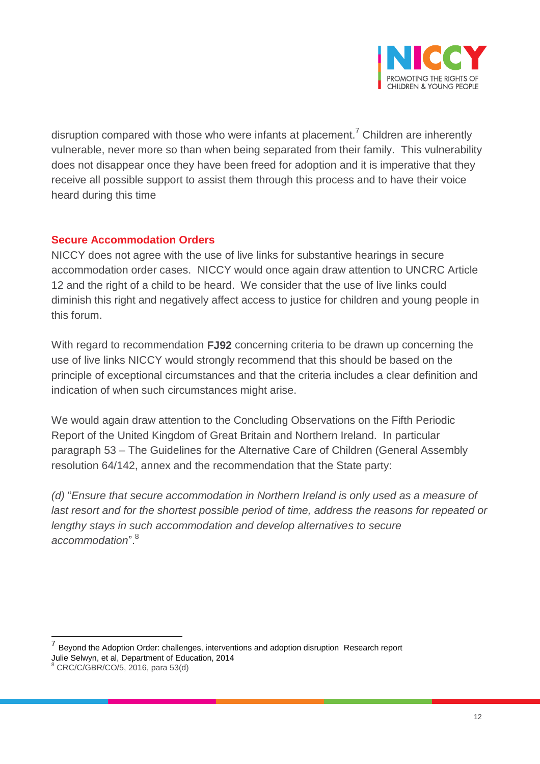

disruption compared with those who were infants at placement.<sup>7</sup> Children are inherently vulnerable, never more so than when being separated from their family. This vulnerability does not disappear once they have been freed for adoption and it is imperative that they receive all possible support to assist them through this process and to have their voice heard during this time

#### **Secure Accommodation Orders**

NICCY does not agree with the use of live links for substantive hearings in secure accommodation order cases. NICCY would once again draw attention to UNCRC Article 12 and the right of a child to be heard. We consider that the use of live links could diminish this right and negatively affect access to justice for children and young people in this forum.

With regard to recommendation **FJ92** concerning criteria to be drawn up concerning the use of live links NICCY would strongly recommend that this should be based on the principle of exceptional circumstances and that the criteria includes a clear definition and indication of when such circumstances might arise.

We would again draw attention to the Concluding Observations on the Fifth Periodic Report of the United Kingdom of Great Britain and Northern Ireland. In particular paragraph 53 – The Guidelines for the Alternative Care of Children (General Assembly resolution 64/142, annex and the recommendation that the State party:

*(d)* "*Ensure that secure accommodation in Northern Ireland is only used as a measure of last resort and for the shortest possible period of time, address the reasons for repeated or lengthy stays in such accommodation and develop alternatives to secure*  accommodation".<sup>8</sup>

 $\overline{a}$ 

<sup>7</sup> Beyond the Adoption Order: challenges, interventions and adoption disruption Research report Julie Selwyn, et al, Department of Education, 2014

<sup>8</sup> CRC/C/GBR/CO/5, 2016, para 53(d)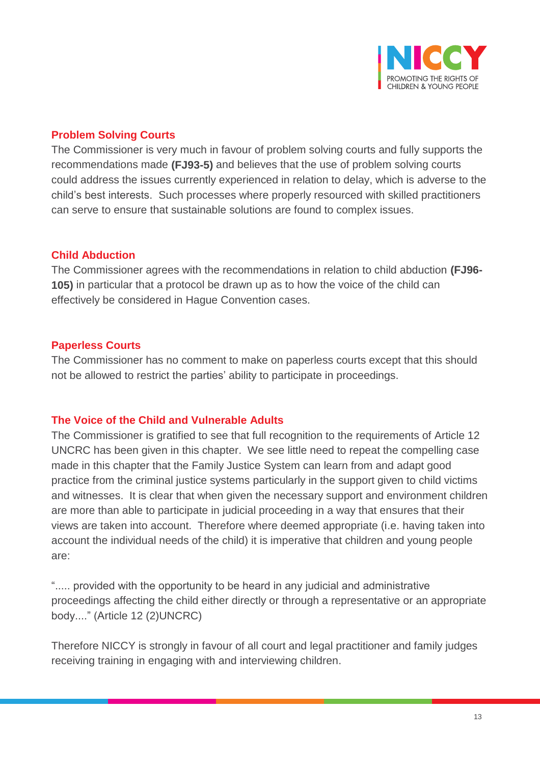

#### **Problem Solving Courts**

The Commissioner is very much in favour of problem solving courts and fully supports the recommendations made **(FJ93-5)** and believes that the use of problem solving courts could address the issues currently experienced in relation to delay, which is adverse to the child's best interests. Such processes where properly resourced with skilled practitioners can serve to ensure that sustainable solutions are found to complex issues.

#### **Child Abduction**

The Commissioner agrees with the recommendations in relation to child abduction **(FJ96- 105)** in particular that a protocol be drawn up as to how the voice of the child can effectively be considered in Hague Convention cases.

#### **Paperless Courts**

The Commissioner has no comment to make on paperless courts except that this should not be allowed to restrict the parties' ability to participate in proceedings.

#### **The Voice of the Child and Vulnerable Adults**

The Commissioner is gratified to see that full recognition to the requirements of Article 12 UNCRC has been given in this chapter. We see little need to repeat the compelling case made in this chapter that the Family Justice System can learn from and adapt good practice from the criminal justice systems particularly in the support given to child victims and witnesses. It is clear that when given the necessary support and environment children are more than able to participate in judicial proceeding in a way that ensures that their views are taken into account. Therefore where deemed appropriate (i.e. having taken into account the individual needs of the child) it is imperative that children and young people are:

"..... provided with the opportunity to be heard in any judicial and administrative proceedings affecting the child either directly or through a representative or an appropriate body...." (Article 12 (2)UNCRC)

Therefore NICCY is strongly in favour of all court and legal practitioner and family judges receiving training in engaging with and interviewing children.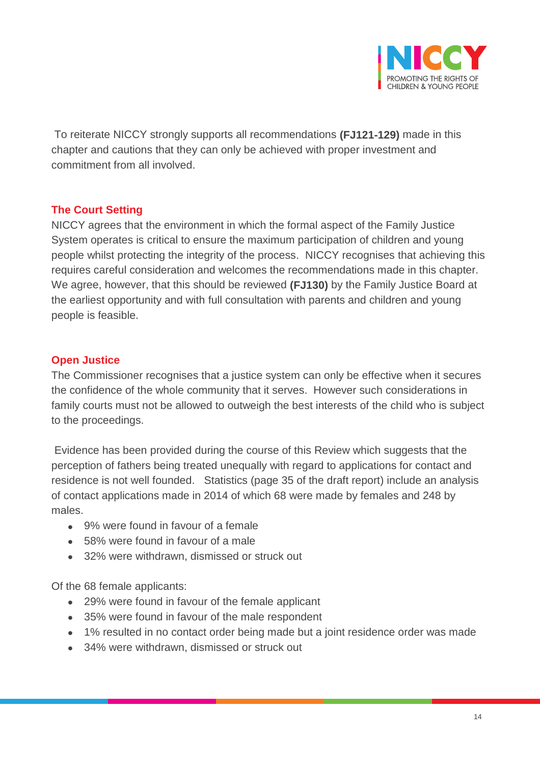

To reiterate NICCY strongly supports all recommendations **(FJ121-129)** made in this chapter and cautions that they can only be achieved with proper investment and commitment from all involved.

#### **The Court Setting**

NICCY agrees that the environment in which the formal aspect of the Family Justice System operates is critical to ensure the maximum participation of children and young people whilst protecting the integrity of the process. NICCY recognises that achieving this requires careful consideration and welcomes the recommendations made in this chapter. We agree, however, that this should be reviewed **(FJ130)** by the Family Justice Board at the earliest opportunity and with full consultation with parents and children and young people is feasible.

#### **Open Justice**

The Commissioner recognises that a justice system can only be effective when it secures the confidence of the whole community that it serves. However such considerations in family courts must not be allowed to outweigh the best interests of the child who is subject to the proceedings.

Evidence has been provided during the course of this Review which suggests that the perception of fathers being treated unequally with regard to applications for contact and residence is not well founded. Statistics (page 35 of the draft report) include an analysis of contact applications made in 2014 of which 68 were made by females and 248 by males.

- 9% were found in favour of a female
- 58% were found in favour of a male
- 32% were withdrawn, dismissed or struck out

Of the 68 female applicants:

- 29% were found in favour of the female applicant
- 35% were found in favour of the male respondent
- 1% resulted in no contact order being made but a joint residence order was made
- 34% were withdrawn, dismissed or struck out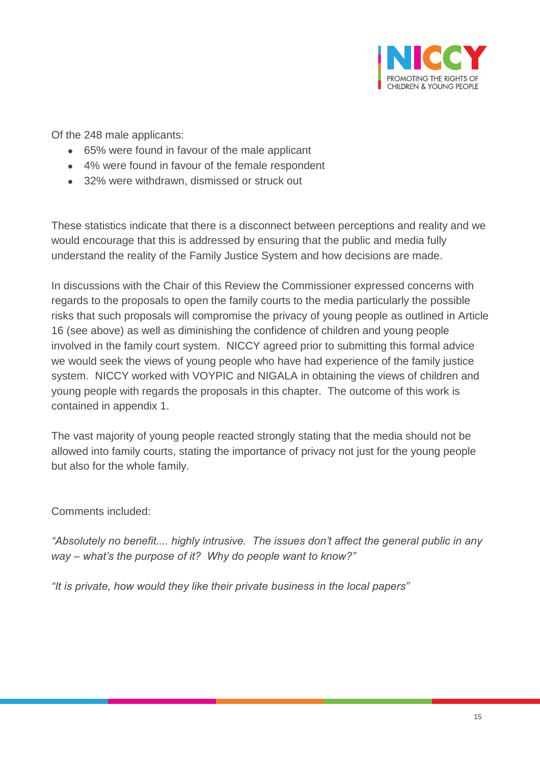

Of the 248 male applicants:

- 65% were found in favour of the male applicant
- 4% were found in favour of the female respondent
- 32% were withdrawn, dismissed or struck out

These statistics indicate that there is a disconnect between perceptions and reality and we would encourage that this is addressed by ensuring that the public and media fully understand the reality of the Family Justice System and how decisions are made.

In discussions with the Chair of this Review the Commissioner expressed concerns with regards to the proposals to open the family courts to the media particularly the possible risks that such proposals will compromise the privacy of young people as outlined in Article 16 (see above) as well as diminishing the confidence of children and young people involved in the family court system. NICCY agreed prior to submitting this formal advice we would seek the views of young people who have had experience of the family justice system. NICCY worked with VOYPIC and NIGALA in obtaining the views of children and young people with regards the proposals in this chapter. The outcome of this work is contained in appendix 1.

The vast majority of young people reacted strongly stating that the media should not be allowed into family courts, stating the importance of privacy not just for the young people but also for the whole family.

Comments included:

*"Absolutely no benefit.... highly intrusive. The issues don't affect the general public in any way – what's the purpose of it? Why do people want to know?"*

*"It is private, how would they like their private business in the local papers"*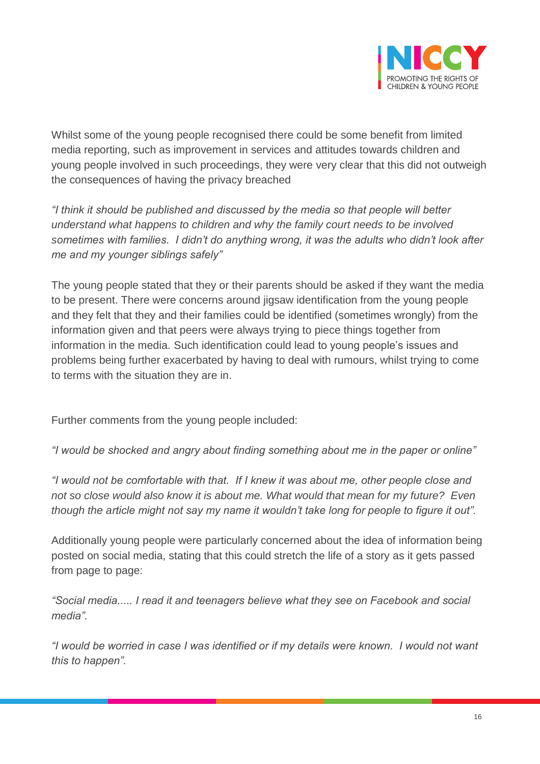

Whilst some of the young people recognised there could be some benefit from limited media reporting, such as improvement in services and attitudes towards children and young people involved in such proceedings, they were very clear that this did not outweigh the consequences of having the privacy breached

*"I think it should be published and discussed by the media so that people will better understand what happens to children and why the family court needs to be involved sometimes with families. I didn't do anything wrong, it was the adults who didn't look after me and my younger siblings safely"*

The young people stated that they or their parents should be asked if they want the media to be present. There were concerns around jigsaw identification from the young people and they felt that they and their families could be identified (sometimes wrongly) from the information given and that peers were always trying to piece things together from information in the media. Such identification could lead to young people's issues and problems being further exacerbated by having to deal with rumours, whilst trying to come to terms with the situation they are in.

Further comments from the young people included:

*"I would be shocked and angry about finding something about me in the paper or online"*

*"I would not be comfortable with that. If I knew it was about me, other people close and not so close would also know it is about me. What would that mean for my future? Even though the article might not say my name it wouldn't take long for people to figure it out".*

Additionally young people were particularly concerned about the idea of information being posted on social media, stating that this could stretch the life of a story as it gets passed from page to page:

*"Social media..... I read it and teenagers believe what they see on Facebook and social media".*

*"I would be worried in case I was identified or if my details were known. I would not want this to happen".*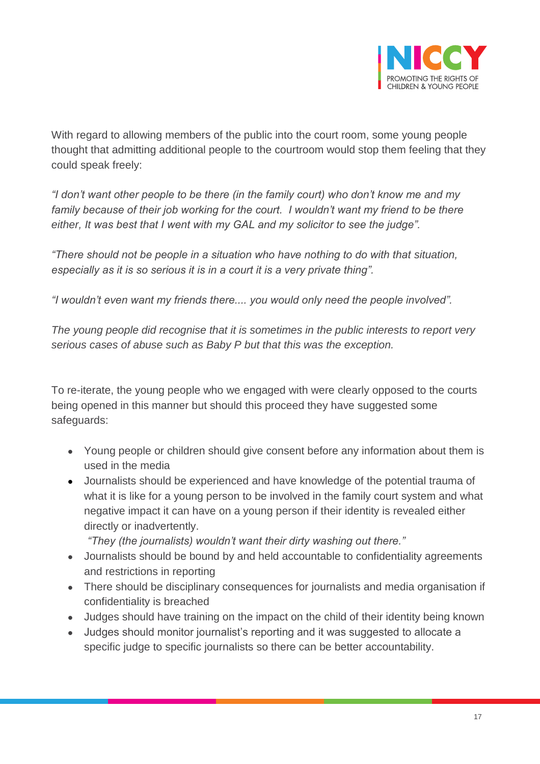

With regard to allowing members of the public into the court room, some young people thought that admitting additional people to the courtroom would stop them feeling that they could speak freely:

*"I don't want other people to be there (in the family court) who don't know me and my family because of their job working for the court. I wouldn't want my friend to be there either, It was best that I went with my GAL and my solicitor to see the judge".*

*"There should not be people in a situation who have nothing to do with that situation, especially as it is so serious it is in a court it is a very private thing".*

*"I wouldn't even want my friends there.... you would only need the people involved".*

*The young people did recognise that it is sometimes in the public interests to report very serious cases of abuse such as Baby P but that this was the exception.* 

To re-iterate, the young people who we engaged with were clearly opposed to the courts being opened in this manner but should this proceed they have suggested some safeguards:

- Young people or children should give consent before any information about them is used in the media
- Journalists should be experienced and have knowledge of the potential trauma of what it is like for a young person to be involved in the family court system and what negative impact it can have on a young person if their identity is revealed either directly or inadvertently.

*"They (the journalists) wouldn't want their dirty washing out there."*

- Journalists should be bound by and held accountable to confidentiality agreements and restrictions in reporting
- There should be disciplinary consequences for journalists and media organisation if confidentiality is breached
- Judges should have training on the impact on the child of their identity being known
- Judges should monitor journalist's reporting and it was suggested to allocate a specific judge to specific journalists so there can be better accountability.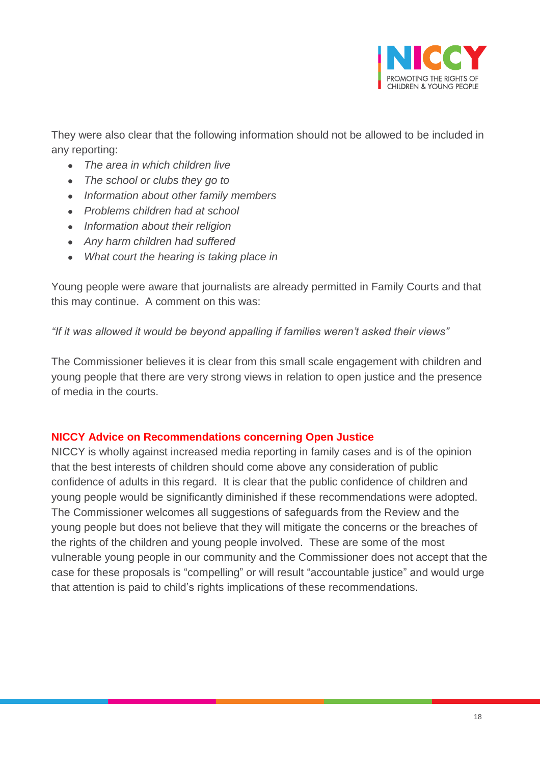

They were also clear that the following information should not be allowed to be included in any reporting:

- *The area in which children live*
- *The school or clubs they go to*
- *Information about other family members*
- *Problems children had at school*
- *Information about their religion*
- *Any harm children had suffered*
- *What court the hearing is taking place in*

Young people were aware that journalists are already permitted in Family Courts and that this may continue. A comment on this was:

*"If it was allowed it would be beyond appalling if families weren't asked their views"*

The Commissioner believes it is clear from this small scale engagement with children and young people that there are very strong views in relation to open justice and the presence of media in the courts.

#### **NICCY Advice on Recommendations concerning Open Justice**

NICCY is wholly against increased media reporting in family cases and is of the opinion that the best interests of children should come above any consideration of public confidence of adults in this regard. It is clear that the public confidence of children and young people would be significantly diminished if these recommendations were adopted. The Commissioner welcomes all suggestions of safeguards from the Review and the young people but does not believe that they will mitigate the concerns or the breaches of the rights of the children and young people involved. These are some of the most vulnerable young people in our community and the Commissioner does not accept that the case for these proposals is "compelling" or will result "accountable justice" and would urge that attention is paid to child's rights implications of these recommendations.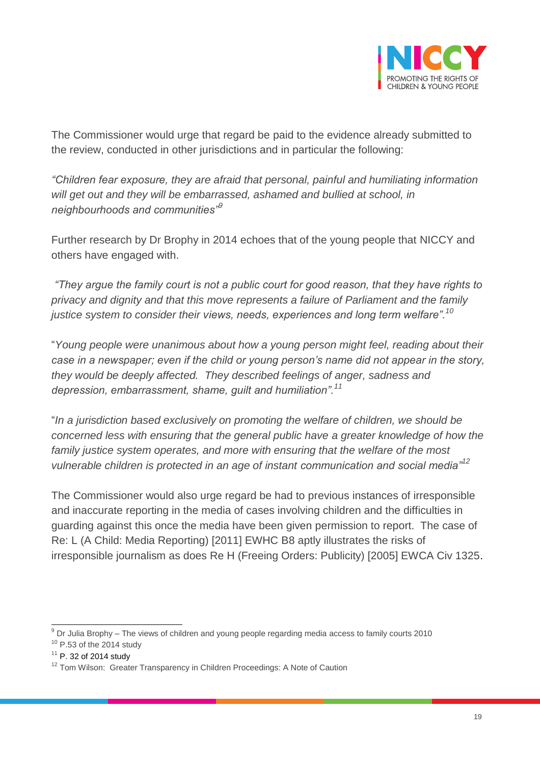

The Commissioner would urge that regard be paid to the evidence already submitted to the review, conducted in other jurisdictions and in particular the following:

*"Children fear exposure, they are afraid that personal, painful and humiliating information will get out and they will be embarrassed, ashamed and bullied at school, in neighbourhoods and communities"<sup>9</sup>*

Further research by Dr Brophy in 2014 echoes that of the young people that NICCY and others have engaged with.

*"They argue the family court is not a public court for good reason, that they have rights to privacy and dignity and that this move represents a failure of Parliament and the family justice system to consider their views, needs, experiences and long term welfare".<sup>10</sup>*

"*Young people were unanimous about how a young person might feel, reading about their case in a newspaper; even if the child or young person's name did not appear in the story, they would be deeply affected. They described feelings of anger, sadness and depression, embarrassment, shame, guilt and humiliation".<sup>11</sup>*

"*In a jurisdiction based exclusively on promoting the welfare of children, we should be concerned less with ensuring that the general public have a greater knowledge of how the family justice system operates, and more with ensuring that the welfare of the most vulnerable children is protected in an age of instant communication and social media"<sup>12</sup>*

The Commissioner would also urge regard be had to previous instances of irresponsible and inaccurate reporting in the media of cases involving children and the difficulties in guarding against this once the media have been given permission to report. The case of Re: L (A Child: Media Reporting) [2011] EWHC B8 aptly illustrates the risks of irresponsible journalism as does Re H (Freeing Orders: Publicity) [2005] EWCA Civ 1325.

 $\overline{a}$  $^{9}$  Dr Julia Brophy – The views of children and young people regarding media access to family courts 2010

- $10$  P.53 of the 2014 study
- $11$  P. 32 of 2014 study

<sup>&</sup>lt;sup>12</sup> Tom Wilson: Greater Transparency in Children Proceedings: A Note of Caution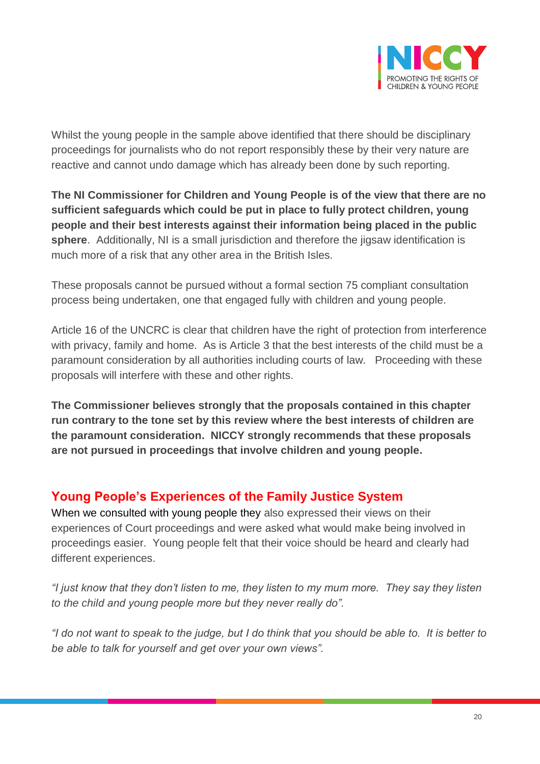

Whilst the young people in the sample above identified that there should be disciplinary proceedings for journalists who do not report responsibly these by their very nature are reactive and cannot undo damage which has already been done by such reporting.

**The NI Commissioner for Children and Young People is of the view that there are no sufficient safeguards which could be put in place to fully protect children, young people and their best interests against their information being placed in the public sphere**. Additionally, NI is a small jurisdiction and therefore the jigsaw identification is much more of a risk that any other area in the British Isles.

These proposals cannot be pursued without a formal section 75 compliant consultation process being undertaken, one that engaged fully with children and young people.

Article 16 of the UNCRC is clear that children have the right of protection from interference with privacy, family and home. As is Article 3 that the best interests of the child must be a paramount consideration by all authorities including courts of law. Proceeding with these proposals will interfere with these and other rights.

**The Commissioner believes strongly that the proposals contained in this chapter run contrary to the tone set by this review where the best interests of children are the paramount consideration. NICCY strongly recommends that these proposals are not pursued in proceedings that involve children and young people.** 

### **Young People's Experiences of the Family Justice System**

When we consulted with young people they also expressed their views on their experiences of Court proceedings and were asked what would make being involved in proceedings easier. Young people felt that their voice should be heard and clearly had different experiences.

*"I just know that they don't listen to me, they listen to my mum more. They say they listen to the child and young people more but they never really do".*

*"I do not want to speak to the judge, but I do think that you should be able to. It is better to be able to talk for yourself and get over your own views".*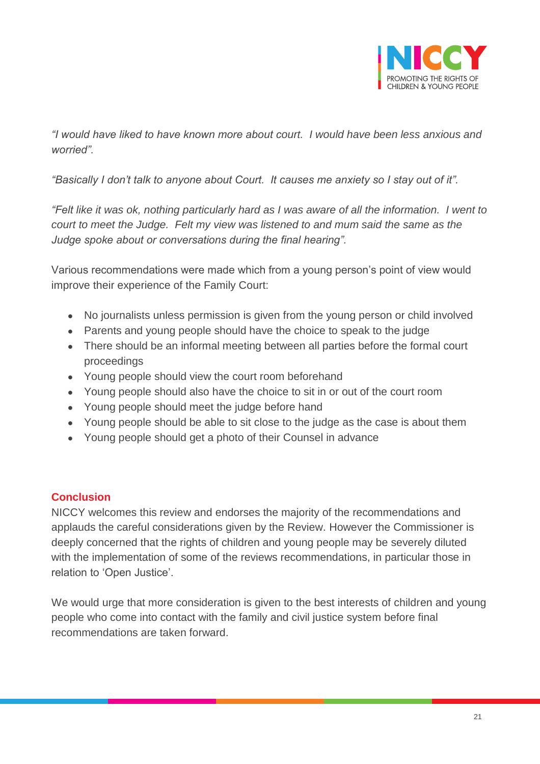

*"I would have liked to have known more about court. I would have been less anxious and worried".*

*"Basically I don't talk to anyone about Court. It causes me anxiety so I stay out of it".*

*"Felt like it was ok, nothing particularly hard as I was aware of all the information. I went to court to meet the Judge. Felt my view was listened to and mum said the same as the Judge spoke about or conversations during the final hearing".*

Various recommendations were made which from a young person's point of view would improve their experience of the Family Court:

- No journalists unless permission is given from the young person or child involved
- Parents and young people should have the choice to speak to the judge
- There should be an informal meeting between all parties before the formal court proceedings
- Young people should view the court room beforehand
- Young people should also have the choice to sit in or out of the court room
- Young people should meet the judge before hand
- Young people should be able to sit close to the judge as the case is about them
- Young people should get a photo of their Counsel in advance

#### **Conclusion**

NICCY welcomes this review and endorses the majority of the recommendations and applauds the careful considerations given by the Review. However the Commissioner is deeply concerned that the rights of children and young people may be severely diluted with the implementation of some of the reviews recommendations, in particular those in relation to 'Open Justice'.

We would urge that more consideration is given to the best interests of children and young people who come into contact with the family and civil justice system before final recommendations are taken forward.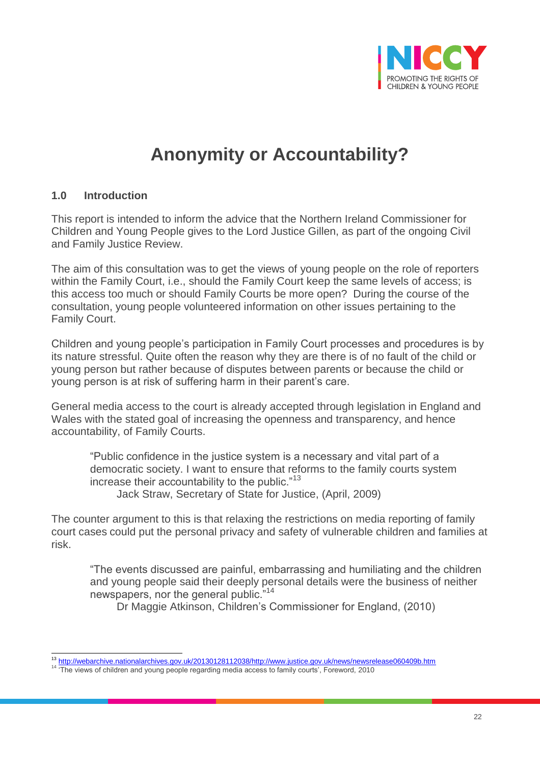

# **Anonymity or Accountability?**

#### **1.0 Introduction**

This report is intended to inform the advice that the Northern Ireland Commissioner for Children and Young People gives to the Lord Justice Gillen, as part of the ongoing Civil and Family Justice Review.

The aim of this consultation was to get the views of young people on the role of reporters within the Family Court, i.e., should the Family Court keep the same levels of access; is this access too much or should Family Courts be more open? During the course of the consultation, young people volunteered information on other issues pertaining to the Family Court.

Children and young people's participation in Family Court processes and procedures is by its nature stressful. Quite often the reason why they are there is of no fault of the child or young person but rather because of disputes between parents or because the child or young person is at risk of suffering harm in their parent's care.

General media access to the court is already accepted through legislation in England and Wales with the stated goal of increasing the openness and transparency, and hence accountability, of Family Courts.

"Public confidence in the justice system is a necessary and vital part of a democratic society. I want to ensure that reforms to the family courts system increase their accountability to the public."<sup>13</sup> Jack Straw, Secretary of State for Justice, (April, 2009)

The counter argument to this is that relaxing the restrictions on media reporting of family court cases could put the personal privacy and safety of vulnerable children and families at risk.

"The events discussed are painful, embarrassing and humiliating and the children and young people said their deeply personal details were the business of neither newspapers, nor the general public."<sup>14</sup>

Dr Maggie Atkinson, Children's Commissioner for England, (2010)

 $\overline{a}$ <sup>13</sup> [http://webarchive.nationalarchives.gov.uk/20130128112038/http://www.justice.gov.uk/news/newsrelease060409b.htm](http://webarchive.nationalarchives.gov.uk/20130128112038/http:/www.justice.gov.uk/news/newsrelease060409b.htm)

<sup>&</sup>lt;sup>14</sup> The views of children and young people regarding media access to family courts', Foreword, 2010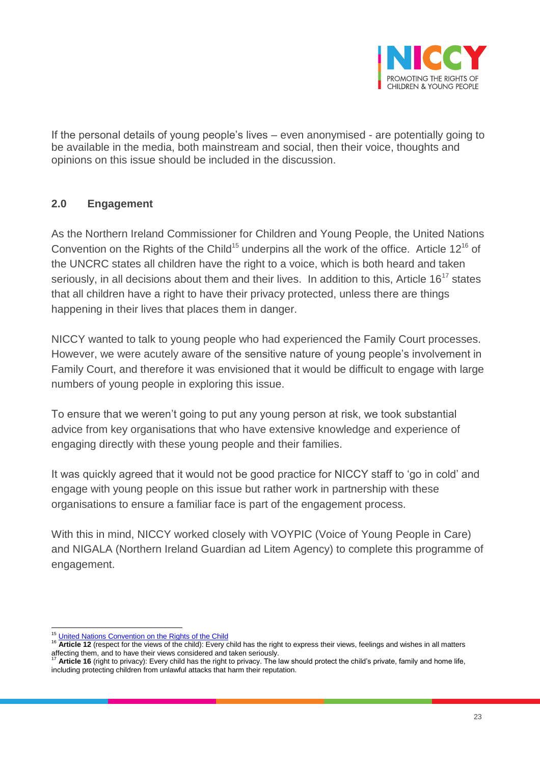

If the personal details of young people's lives – even anonymised - are potentially going to be available in the media, both mainstream and social, then their voice, thoughts and opinions on this issue should be included in the discussion.

#### **2.0 Engagement**

As the Northern Ireland Commissioner for Children and Young People, the United Nations Convention on the Rights of the Child<sup>15</sup> underpins all the work of the office. Article 12<sup>16</sup> of the UNCRC states all children have the right to a voice, which is both heard and taken seriously, in all decisions about them and their lives. In addition to this, Article  $16^{17}$  states that all children have a right to have their privacy protected, unless there are things happening in their lives that places them in danger.

NICCY wanted to talk to young people who had experienced the Family Court processes. However, we were acutely aware of the sensitive nature of young people's involvement in Family Court, and therefore it was envisioned that it would be difficult to engage with large numbers of young people in exploring this issue.

To ensure that we weren't going to put any young person at risk, we took substantial advice from key organisations that who have extensive knowledge and experience of engaging directly with these young people and their families.

It was quickly agreed that it would not be good practice for NICCY staff to 'go in cold' and engage with young people on this issue but rather work in partnership with these organisations to ensure a familiar face is part of the engagement process.

With this in mind, NICCY worked closely with VOYPIC (Voice of Young People in Care) and NIGALA (Northern Ireland Guardian ad Litem Agency) to complete this programme of engagement.

 $\overline{a}$ <sup>15</sup> [United Nations Convention on the Rights of the Child](http://www.unicef.org.uk/UNICEFs-Work/UN-Convention/)

<sup>&</sup>lt;sup>16</sup> **Article 12** (respect for the views of the child): Every child has the right to express their views, feelings and wishes in all matters affecting them, and to have their views considered and taken seriously.

Article 16 (right to privacy): Every child has the right to privacy. The law should protect the child's private, family and home life, including protecting children from unlawful attacks that harm their reputation.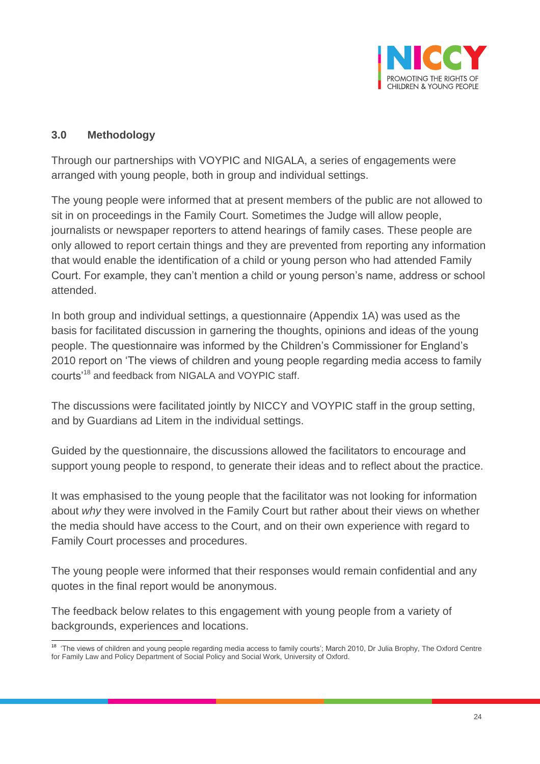

#### **3.0 Methodology**

Through our partnerships with VOYPIC and NIGALA, a series of engagements were arranged with young people, both in group and individual settings.

The young people were informed that at present members of the public are not allowed to sit in on proceedings in the Family Court. Sometimes the Judge will allow people, journalists or newspaper reporters to attend hearings of family cases. These people are only allowed to report certain things and they are prevented from reporting any information that would enable the identification of a child or young person who had attended Family Court. For example, they can't mention a child or young person's name, address or school attended.

In both group and individual settings, a questionnaire (Appendix 1A) was used as the basis for facilitated discussion in garnering the thoughts, opinions and ideas of the young people. The questionnaire was informed by the Children's Commissioner for England's 2010 report on 'The views of children and young people regarding media access to family courts'<sup>18</sup> and feedback from NIGALA and VOYPIC staff.

The discussions were facilitated jointly by NICCY and VOYPIC staff in the group setting, and by Guardians ad Litem in the individual settings.

Guided by the questionnaire, the discussions allowed the facilitators to encourage and support young people to respond, to generate their ideas and to reflect about the practice.

It was emphasised to the young people that the facilitator was not looking for information about *why* they were involved in the Family Court but rather about their views on whether the media should have access to the Court, and on their own experience with regard to Family Court processes and procedures.

The young people were informed that their responses would remain confidential and any quotes in the final report would be anonymous.

The feedback below relates to this engagement with young people from a variety of backgrounds, experiences and locations.

 18 'The views of children and young people regarding media access to family courts'; March 2010, Dr Julia Brophy, The Oxford Centre for Family Law and Policy Department of Social Policy and Social Work, University of Oxford.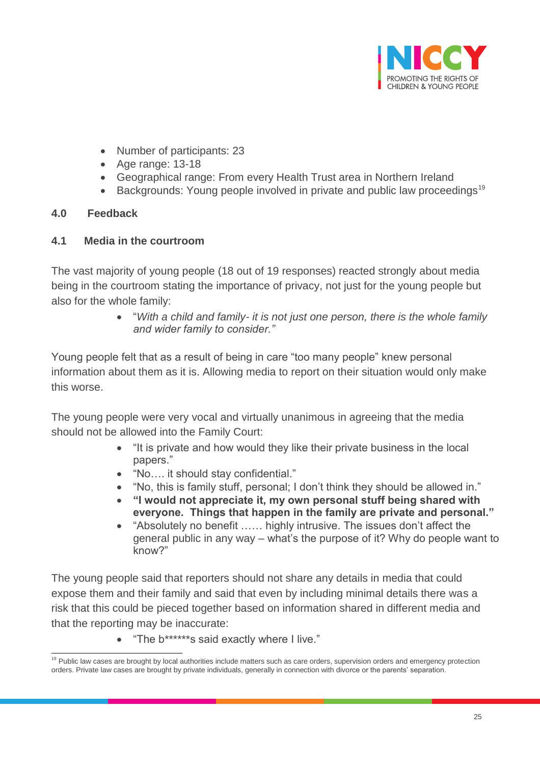

- Number of participants: 23
- Age range: 13-18
- Geographical range: From every Health Trust area in Northern Ireland
- Backgrounds: Young people involved in private and public law proceedings<sup>19</sup>

#### **4.0 Feedback**

#### **4.1 Media in the courtroom**

The vast majority of young people (18 out of 19 responses) reacted strongly about media being in the courtroom stating the importance of privacy, not just for the young people but also for the whole family:

> "*With a child and family- it is not just one person, there is the whole family and wider family to consider."*

Young people felt that as a result of being in care "too many people" knew personal information about them as it is. Allowing media to report on their situation would only make this worse.

The young people were very vocal and virtually unanimous in agreeing that the media should not be allowed into the Family Court:

- "It is private and how would they like their private business in the local papers."
- "No…. it should stay confidential."
- "No, this is family stuff, personal; I don't think they should be allowed in."
- **"I would not appreciate it, my own personal stuff being shared with everyone. Things that happen in the family are private and personal."**
- "Absolutely no benefit …… highly intrusive. The issues don't affect the general public in any way – what's the purpose of it? Why do people want to know?"

The young people said that reporters should not share any details in media that could expose them and their family and said that even by including minimal details there was a risk that this could be pieced together based on information shared in different media and that the reporting may be inaccurate:

• "The b\*\*\*\*\*\*\*s said exactly where I live."

 $\overline{a}$ <sup>19</sup> Public law cases are brought by local authorities include matters such as care orders, supervision orders and emergency protection orders. Private law cases are brought by private individuals, generally in connection with divorce or the parents' separation.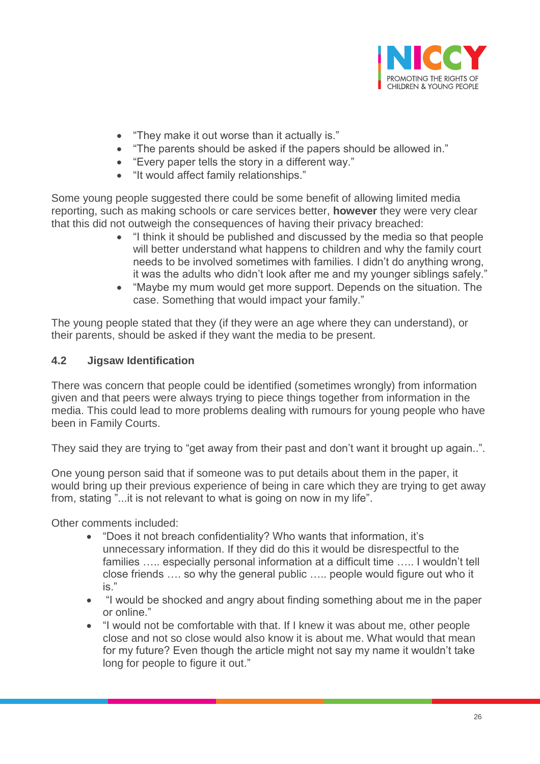

- "They make it out worse than it actually is."
- "The parents should be asked if the papers should be allowed in."
- "Every paper tells the story in a different way."
- "It would affect family relationships."

Some young people suggested there could be some benefit of allowing limited media reporting, such as making schools or care services better, **however** they were very clear that this did not outweigh the consequences of having their privacy breached:

- "I think it should be published and discussed by the media so that people will better understand what happens to children and why the family court needs to be involved sometimes with families. I didn't do anything wrong, it was the adults who didn't look after me and my younger siblings safely."
- "Maybe my mum would get more support. Depends on the situation. The case. Something that would impact your family."

The young people stated that they (if they were an age where they can understand), or their parents, should be asked if they want the media to be present.

#### **4.2 Jigsaw Identification**

There was concern that people could be identified (sometimes wrongly) from information given and that peers were always trying to piece things together from information in the media. This could lead to more problems dealing with rumours for young people who have been in Family Courts.

They said they are trying to "get away from their past and don't want it brought up again..".

One young person said that if someone was to put details about them in the paper, it would bring up their previous experience of being in care which they are trying to get away from, stating "...it is not relevant to what is going on now in my life".

Other comments included:

- "Does it not breach confidentiality? Who wants that information, it's unnecessary information. If they did do this it would be disrespectful to the families ..... especially personal information at a difficult time ..... I wouldn't tell close friends …. so why the general public ….. people would figure out who it is."
- "I would be shocked and angry about finding something about me in the paper or online."
- "I would not be comfortable with that. If I knew it was about me, other people close and not so close would also know it is about me. What would that mean for my future? Even though the article might not say my name it wouldn't take long for people to figure it out."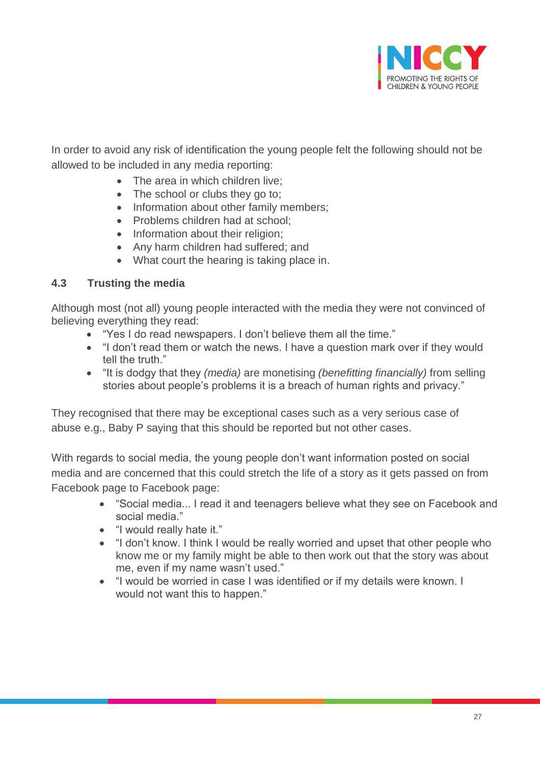

In order to avoid any risk of identification the young people felt the following should not be allowed to be included in any media reporting:

- The area in which children live:
- The school or clubs they go to;
- Information about other family members;
- Problems children had at school;
- Information about their religion;
- Any harm children had suffered; and
- What court the hearing is taking place in.

#### **4.3 Trusting the media**

Although most (not all) young people interacted with the media they were not convinced of believing everything they read:

- "Yes I do read newspapers. I don't believe them all the time."
- "I don't read them or watch the news. I have a question mark over if they would tell the truth."
- "It is dodgy that they *(media)* are monetising *(benefitting financially)* from selling stories about people's problems it is a breach of human rights and privacy."

They recognised that there may be exceptional cases such as a very serious case of abuse e.g., Baby P saying that this should be reported but not other cases.

With regards to social media, the young people don't want information posted on social media and are concerned that this could stretch the life of a story as it gets passed on from Facebook page to Facebook page:

- "Social media... I read it and teenagers believe what they see on Facebook and social media."
- "I would really hate it."
- "I don't know. I think I would be really worried and upset that other people who know me or my family might be able to then work out that the story was about me, even if my name wasn't used."
- "I would be worried in case I was identified or if my details were known. I would not want this to happen."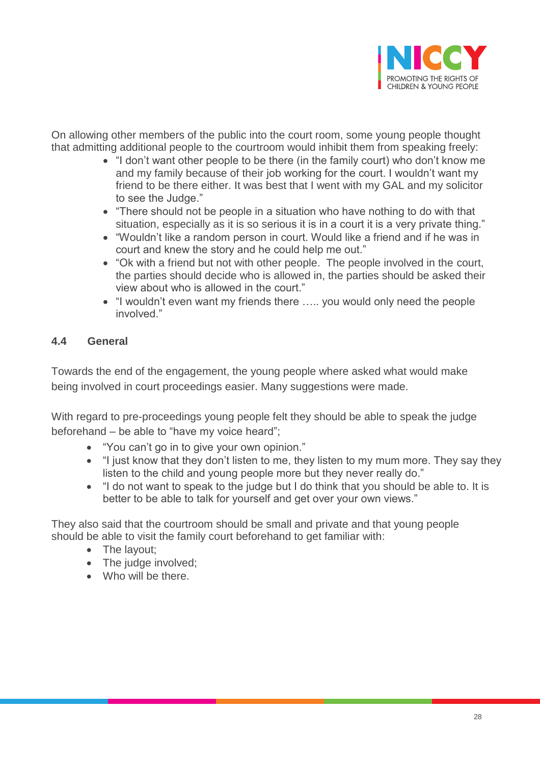

On allowing other members of the public into the court room, some young people thought that admitting additional people to the courtroom would inhibit them from speaking freely:

- "I don't want other people to be there (in the family court) who don't know me and my family because of their job working for the court. I wouldn't want my friend to be there either. It was best that I went with my GAL and my solicitor to see the Judge."
- "There should not be people in a situation who have nothing to do with that situation, especially as it is so serious it is in a court it is a very private thing."
- "Wouldn't like a random person in court. Would like a friend and if he was in court and knew the story and he could help me out."
- "Ok with a friend but not with other people. The people involved in the court, the parties should decide who is allowed in, the parties should be asked their view about who is allowed in the court."
- "I wouldn't even want my friends there ….. you would only need the people involved."

#### **4.4 General**

Towards the end of the engagement, the young people where asked what would make being involved in court proceedings easier. Many suggestions were made.

With regard to pre-proceedings young people felt they should be able to speak the judge beforehand – be able to "have my voice heard";

- "You can't go in to give your own opinion."
- "I just know that they don't listen to me, they listen to my mum more. They say they listen to the child and young people more but they never really do."
- "I do not want to speak to the judge but I do think that you should be able to. It is better to be able to talk for yourself and get over your own views."

They also said that the courtroom should be small and private and that young people should be able to visit the family court beforehand to get familiar with:

- The layout;
- The judge involved;
- Who will be there.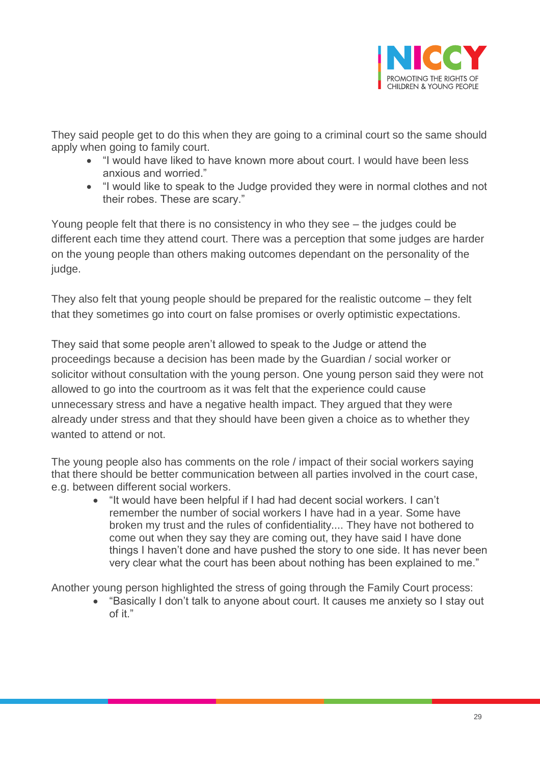

They said people get to do this when they are going to a criminal court so the same should apply when going to family court.

- "I would have liked to have known more about court. I would have been less anxious and worried."
- "I would like to speak to the Judge provided they were in normal clothes and not their robes. These are scary."

Young people felt that there is no consistency in who they see – the judges could be different each time they attend court. There was a perception that some judges are harder on the young people than others making outcomes dependant on the personality of the judge.

They also felt that young people should be prepared for the realistic outcome – they felt that they sometimes go into court on false promises or overly optimistic expectations.

They said that some people aren't allowed to speak to the Judge or attend the proceedings because a decision has been made by the Guardian / social worker or solicitor without consultation with the young person. One young person said they were not allowed to go into the courtroom as it was felt that the experience could cause unnecessary stress and have a negative health impact. They argued that they were already under stress and that they should have been given a choice as to whether they wanted to attend or not.

The young people also has comments on the role / impact of their social workers saying that there should be better communication between all parties involved in the court case, e.g. between different social workers.

 "It would have been helpful if I had had decent social workers. I can't remember the number of social workers I have had in a year. Some have broken my trust and the rules of confidentiality.... They have not bothered to come out when they say they are coming out, they have said I have done things I haven't done and have pushed the story to one side. It has never been very clear what the court has been about nothing has been explained to me."

Another young person highlighted the stress of going through the Family Court process:

 "Basically I don't talk to anyone about court. It causes me anxiety so I stay out of it."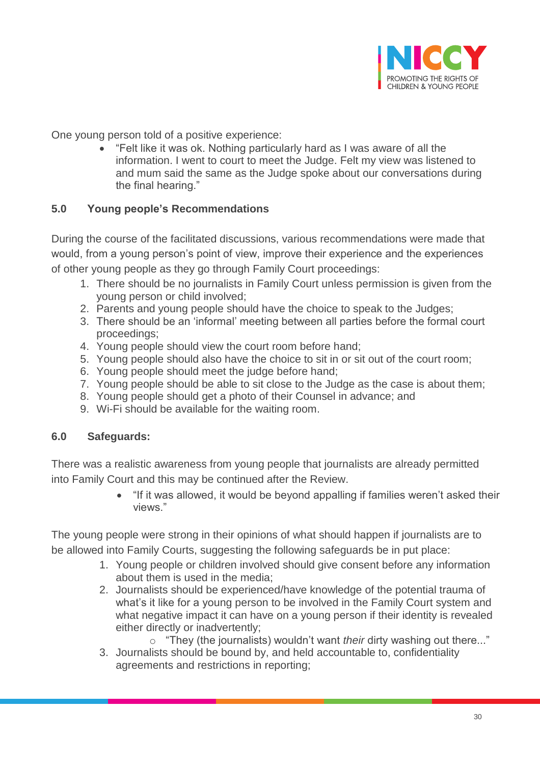

One young person told of a positive experience:

 "Felt like it was ok. Nothing particularly hard as I was aware of all the information. I went to court to meet the Judge. Felt my view was listened to and mum said the same as the Judge spoke about our conversations during the final hearing."

#### **5.0 Young people's Recommendations**

During the course of the facilitated discussions, various recommendations were made that would, from a young person's point of view, improve their experience and the experiences of other young people as they go through Family Court proceedings:

- 1. There should be no journalists in Family Court unless permission is given from the young person or child involved;
- 2. Parents and young people should have the choice to speak to the Judges;
- 3. There should be an 'informal' meeting between all parties before the formal court proceedings;
- 4. Young people should view the court room before hand;
- 5. Young people should also have the choice to sit in or sit out of the court room;
- 6. Young people should meet the judge before hand;
- 7. Young people should be able to sit close to the Judge as the case is about them;
- 8. Young people should get a photo of their Counsel in advance; and
- 9. Wi-Fi should be available for the waiting room.

#### **6.0 Safeguards:**

There was a realistic awareness from young people that journalists are already permitted into Family Court and this may be continued after the Review.

> "If it was allowed, it would be beyond appalling if families weren't asked their views."

The young people were strong in their opinions of what should happen if journalists are to be allowed into Family Courts, suggesting the following safeguards be in put place:

- 1. Young people or children involved should give consent before any information about them is used in the media;
- 2. Journalists should be experienced/have knowledge of the potential trauma of what's it like for a young person to be involved in the Family Court system and what negative impact it can have on a young person if their identity is revealed either directly or inadvertently;

o "They (the journalists) wouldn't want *their* dirty washing out there..."

3. Journalists should be bound by, and held accountable to, confidentiality agreements and restrictions in reporting;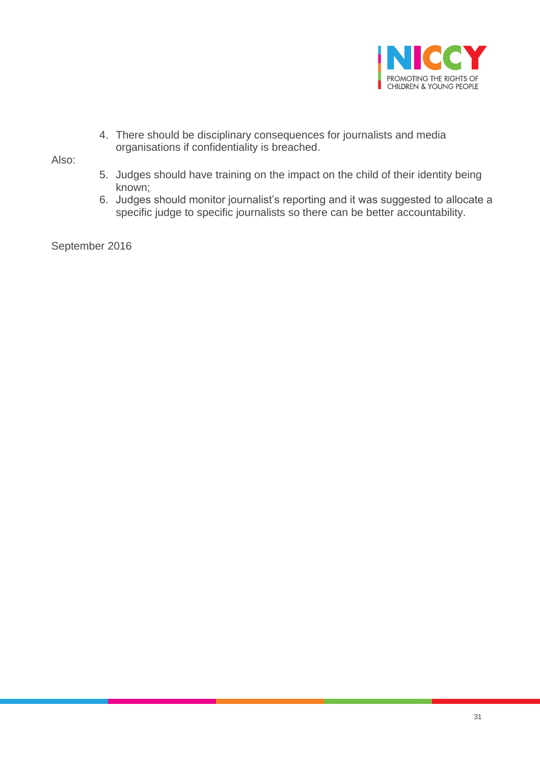

4. There should be disciplinary consequences for journalists and media organisations if confidentiality is breached.

Also:

- 5. Judges should have training on the impact on the child of their identity being known;
- 6. Judges should monitor journalist's reporting and it was suggested to allocate a specific judge to specific journalists so there can be better accountability.

September 2016